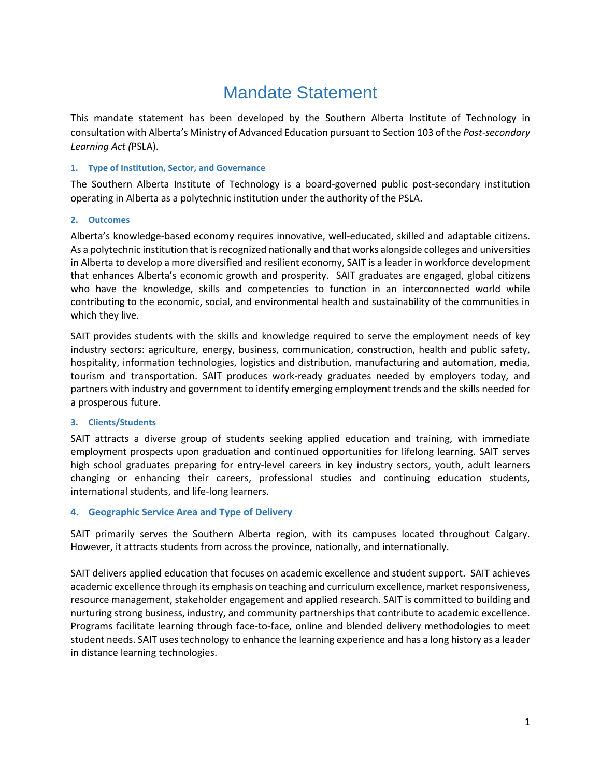# Mandate Statement

This mandate statement has been developed by the Southern Alberta Institute of Technology in consultation with Alberta's Ministry of Advanced Education pursuant to Section 103 of the *Post-secondary Learning Act (*PSLA).

## **1. Type of Institution, Sector, and Governance**

The Southern Alberta Institute of Technology is a board-governed public post-secondary institution operating in Alberta as a polytechnic institution under the authority of the PSLA.

#### **2. Outcomes**

Alberta's knowledge-based economy requires innovative, well-educated, skilled and adaptable citizens. As a polytechnic institution that is recognized nationally and that works alongside colleges and universities in Alberta to develop a more diversified and resilient economy, SAIT is a leader in workforce development that enhances Alberta's economic growth and prosperity. SAIT graduates are engaged, global citizens who have the knowledge, skills and competencies to function in an interconnected world while contributing to the economic, social, and environmental health and sustainability of the communities in which they live.

SAIT provides students with the skills and knowledge required to serve the employment needs of key industry sectors: agriculture, energy, business, communication, construction, health and public safety, hospitality, information technologies, logistics and distribution, manufacturing and automation, media, tourism and transportation. SAIT produces work-ready graduates needed by employers today, and partners with industry and government to identify emerging employment trends and the skills needed for a prosperous future.

## **3. Clients/Students**

SAIT attracts a diverse group of students seeking applied education and training, with immediate employment prospects upon graduation and continued opportunities for lifelong learning. SAIT serves high school graduates preparing for entry-level careers in key industry sectors, youth, adult learners changing or enhancing their careers, professional studies and continuing education students, international students, and life-long learners.

## **4. Geographic Service Area and Type of Delivery**

SAIT primarily serves the Southern Alberta region, with its campuses located throughout Calgary. However, it attracts students from across the province, nationally, and internationally.

SAIT delivers applied education that focuses on academic excellence and student support. SAIT achieves academic excellence through its emphasis on teaching and curriculum excellence, market responsiveness, resource management, stakeholder engagement and applied research. SAIT is committed to building and nurturing strong business, industry, and community partnerships that contribute to academic excellence. Programs facilitate learning through face-to-face, online and blended delivery methodologies to meet student needs. SAIT uses technology to enhance the learning experience and has a long history as a leader in distance learning technologies.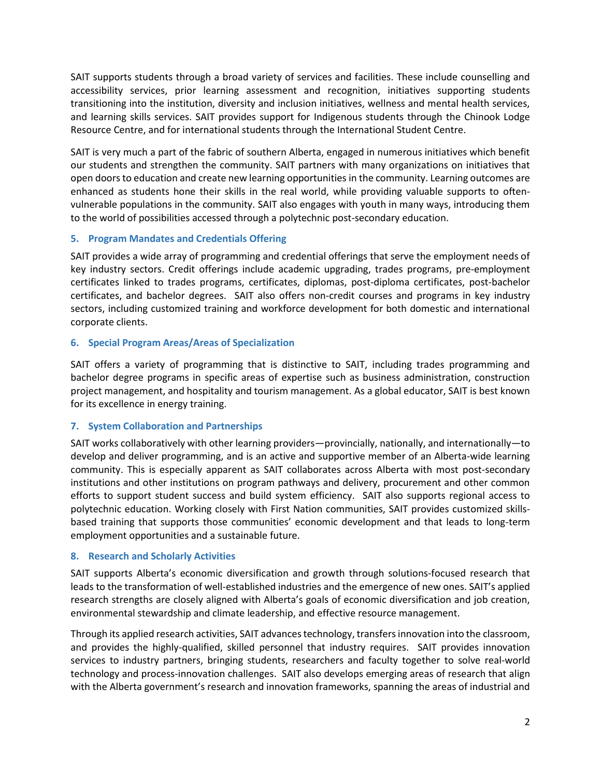SAIT supports students through a broad variety of services and facilities. These include counselling and accessibility services, prior learning assessment and recognition, initiatives supporting students transitioning into the institution, diversity and inclusion initiatives, wellness and mental health services, and learning skills services. SAIT provides support for Indigenous students through the Chinook Lodge Resource Centre, and for international students through the International Student Centre.

SAIT is very much a part of the fabric of southern Alberta, engaged in numerous initiatives which benefit our students and strengthen the community. SAIT partners with many organizations on initiatives that open doors to education and create new learning opportunities in the community. Learning outcomes are enhanced as students hone their skills in the real world, while providing valuable supports to oftenvulnerable populations in the community. SAIT also engages with youth in many ways, introducing them to the world of possibilities accessed through a polytechnic post-secondary education.

## **5. Program Mandates and Credentials Offering**

SAIT provides a wide array of programming and credential offerings that serve the employment needs of key industry sectors. Credit offerings include academic upgrading, trades programs, pre-employment certificates linked to trades programs, certificates, diplomas, post-diploma certificates, post-bachelor certificates, and bachelor degrees. SAIT also offers non-credit courses and programs in key industry sectors, including customized training and workforce development for both domestic and international corporate clients.

# **6. Special Program Areas/Areas of Specialization**

SAIT offers a variety of programming that is distinctive to SAIT, including trades programming and bachelor degree programs in specific areas of expertise such as business administration, construction project management, and hospitality and tourism management. As a global educator, SAIT is best known for its excellence in energy training.

# **7. System Collaboration and Partnerships**

SAIT works collaboratively with other learning providers—provincially, nationally, and internationally—to develop and deliver programming, and is an active and supportive member of an Alberta-wide learning community. This is especially apparent as SAIT collaborates across Alberta with most post-secondary institutions and other institutions on program pathways and delivery, procurement and other common efforts to support student success and build system efficiency. SAIT also supports regional access to polytechnic education. Working closely with First Nation communities, SAIT provides customized skillsbased training that supports those communities' economic development and that leads to long-term employment opportunities and a sustainable future.

# **8. Research and Scholarly Activities**

SAIT supports Alberta's economic diversification and growth through solutions-focused research that leads to the transformation of well-established industries and the emergence of new ones. SAIT's applied research strengths are closely aligned with Alberta's goals of economic diversification and job creation, environmental stewardship and climate leadership, and effective resource management.

Through its applied research activities, SAIT advances technology, transfers innovation into the classroom, and provides the highly-qualified, skilled personnel that industry requires. SAIT provides innovation services to industry partners, bringing students, researchers and faculty together to solve real-world technology and process-innovation challenges. SAIT also develops emerging areas of research that align with the Alberta government's research and innovation frameworks, spanning the areas of industrial and